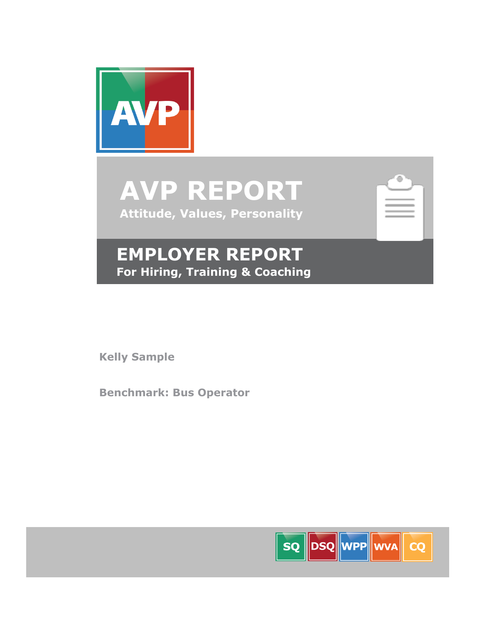

**AVP REPORT Attitude, Values, Personality**

| $\overline{1}$ |
|----------------|
| m<br>в<br>٠    |
| ì<br>٠         |
|                |

## **EMPLOYER REPORT For Hiring, Training & Coaching**

**Kelly Sample**

**Benchmark: Bus Operator**

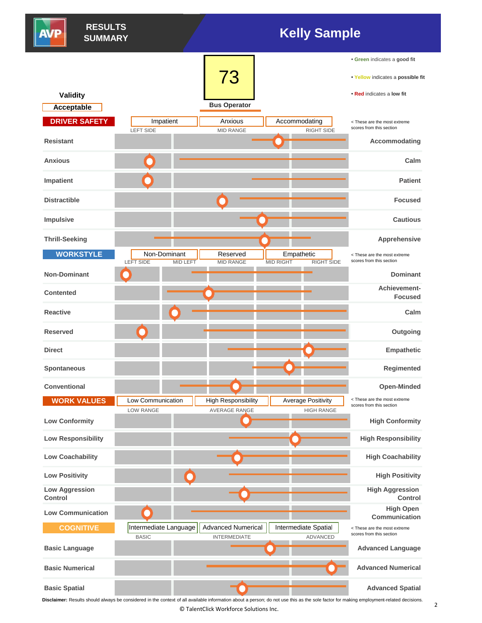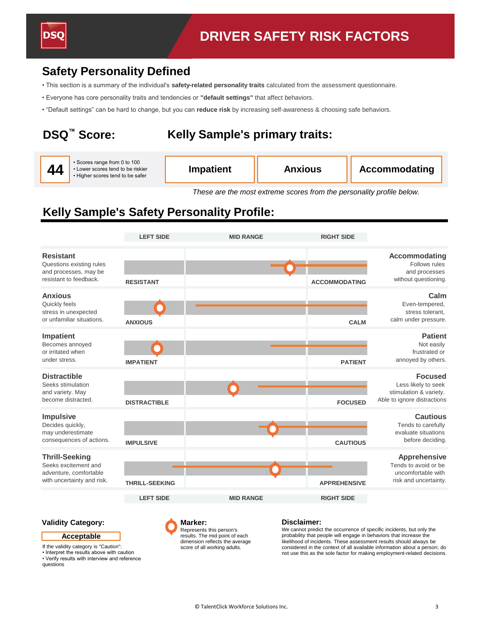

### **Safety Personality Defined**

- This section is a summary of the individual's **safety-related personality traits** calculated from the assessment questionnaire.
- Everyone has core personality traits and tendencies or **"default settings"** that affect behaviors.
- "Default settings" can be hard to change, but you can **reduce risk** by increasing self-awareness & choosing safe behaviors.

## **DSQ™ Score:**

## **Kelly Sample's primary traits:**

|  | 44 | Scores range from 0 to 100<br>• Lower scores tend to be riskier<br>• Higher scores tend to be safer | <b>Impatient</b> | <b>Anxious</b> | <b>Accommodating</b> |
|--|----|-----------------------------------------------------------------------------------------------------|------------------|----------------|----------------------|
|--|----|-----------------------------------------------------------------------------------------------------|------------------|----------------|----------------------|

*These are the most extreme scores from the personality profile below.*

## **Kelly Sample's Safety Personality Profile:**

|                                                                                                       | <b>LEFT SIDE</b>      | <b>MID RANGE</b> | <b>RIGHT SIDE</b>    |                                                                                                |
|-------------------------------------------------------------------------------------------------------|-----------------------|------------------|----------------------|------------------------------------------------------------------------------------------------|
| <b>Resistant</b><br>Questions existing rules<br>and processes, may be<br>resistant to feedback.       | <b>RESISTANT</b>      |                  | <b>ACCOMMODATING</b> | Accommodating<br>Follows rules<br>and processes<br>without questioning.                        |
| <b>Anxious</b><br>Quickly feels<br>stress in unexpected<br>or unfamiliar situations.                  | <b>ANXIOUS</b>        |                  | <b>CALM</b>          | Calm<br>Even-tempered,<br>stress tolerant.<br>calm under pressure.                             |
| Impatient<br>Becomes annoyed<br>or irritated when<br>under stress.                                    | <b>IMPATIENT</b>      |                  | <b>PATIENT</b>       | <b>Patient</b><br>Not easily<br>frustrated or<br>annoyed by others.                            |
| <b>Distractible</b><br>Seeks stimulation<br>and variety. May<br>become distracted.                    | <b>DISTRACTIBLE</b>   |                  | <b>FOCUSED</b>       | <b>Focused</b><br>Less likely to seek<br>stimulation & variety.<br>Able to ignore distractions |
| <b>Impulsive</b><br>Decides quickly,<br>may underestimate<br>consequences of actions.                 | <b>IMPULSIVE</b>      |                  | <b>CAUTIOUS</b>      | <b>Cautious</b><br>Tends to carefully<br>evaluate situations<br>before deciding.               |
| <b>Thrill-Seeking</b><br>Seeks excitement and<br>adventure, comfortable<br>with uncertainty and risk. | <b>THRILL-SEEKING</b> |                  | <b>APPREHENSIVE</b>  | <b>Apprehensive</b><br>Tends to avoid or be<br>uncomfortable with<br>risk and uncertainty.     |
|                                                                                                       | <b>LEFT SIDE</b>      | <b>MID RANGE</b> | <b>RIGHT SIDE</b>    |                                                                                                |

#### **Validity Category:**

#### **Acceptable**

If the validity category is "Caution":

• Interpret the results above with caution • Verify results with interview and reference questions

**Marker:**  Represents this person's results. The mid point of each dimension reflects the average score of all working adults.

#### **Disclaimer:**

We cannot predict the occurrence of specific incidents, but only the probability that people will engage in behaviors that increase the likelihood of incidents. These assessment results should always be considered in the context of all available information about a person; do not use this as the sole factor for making employment-related decisions.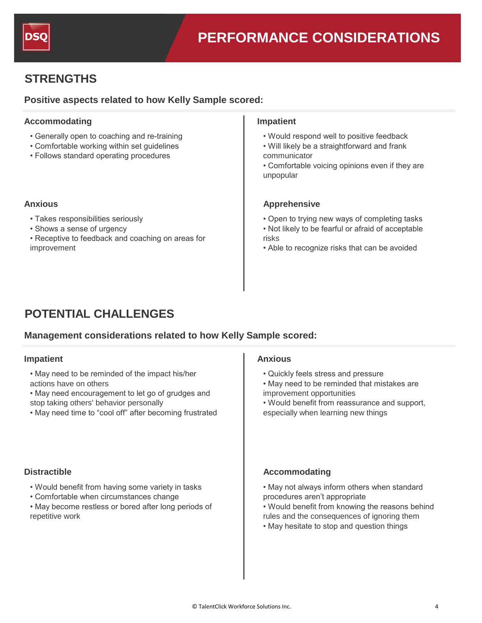

## **STRENGTHS**

#### **Positive aspects related to how Kelly Sample scored:**

#### Accommodating **Impatient**

- Generally open to coaching and re-training
- Comfortable working within set guidelines
- Follows standard operating procedures

- Takes responsibilities seriously
- Shows a sense of urgency
- Receptive to feedback and coaching on areas for improvement

- Would respond well to positive feedback
- Will likely be a straightforward and frank communicator
- Comfortable voicing opinions even if they are unpopular

#### **Anxious Apprehensive**

- Open to trying new ways of completing tasks
- Not likely to be fearful or afraid of acceptable risks
- Able to recognize risks that can be avoided

## **POTENTIAL CHALLENGES**

### **Management considerations related to how Kelly Sample scored:**

## **Impatient E Anxious**

- May need to be reminded of the impact his/her actions have on others
- May need encouragement to let go of grudges and
- stop taking others' behavior personally
- May need time to "cool off" after becoming frustrated

- Would benefit from having some variety in tasks
- Comfortable when circumstances change
- May become restless or bored after long periods of repetitive work

- Quickly feels stress and pressure
- May need to be reminded that mistakes are improvement opportunities
- Would benefit from reassurance and support, especially when learning new things

#### **Distractible Accommodating**

- May not always inform others when standard procedures aren't appropriate
- Would benefit from knowing the reasons behind rules and the consequences of ignoring them
- May hesitate to stop and question things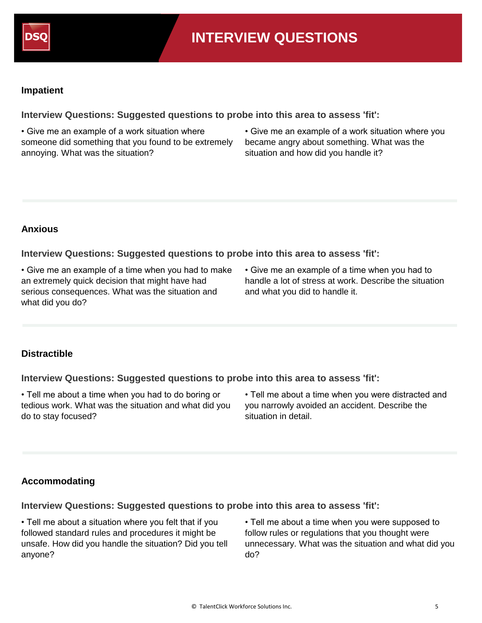

#### **Impatient**

**Interview Questions: Suggested questions to probe into this area to assess 'fit':**

• Give me an example of a work situation where someone did something that you found to be extremely annoying. What was the situation?

• Give me an example of a work situation where you became angry about something. What was the situation and how did you handle it?

### **Anxious**

**Interview Questions: Suggested questions to probe into this area to assess 'fit':**

• Give me an example of a time when you had to make an extremely quick decision that might have had serious consequences. What was the situation and what did you do?

• Give me an example of a time when you had to handle a lot of stress at work. Describe the situation and what you did to handle it.

### **Distractible**

**Interview Questions: Suggested questions to probe into this area to assess 'fit':**

• Tell me about a time when you had to do boring or tedious work. What was the situation and what did you do to stay focused?

• Tell me about a time when you were distracted and you narrowly avoided an accident. Describe the situation in detail.

### **Accommodating**

**Interview Questions: Suggested questions to probe into this area to assess 'fit':**

• Tell me about a situation where you felt that if you followed standard rules and procedures it might be unsafe. How did you handle the situation? Did you tell anyone?

• Tell me about a time when you were supposed to follow rules or regulations that you thought were unnecessary. What was the situation and what did you do?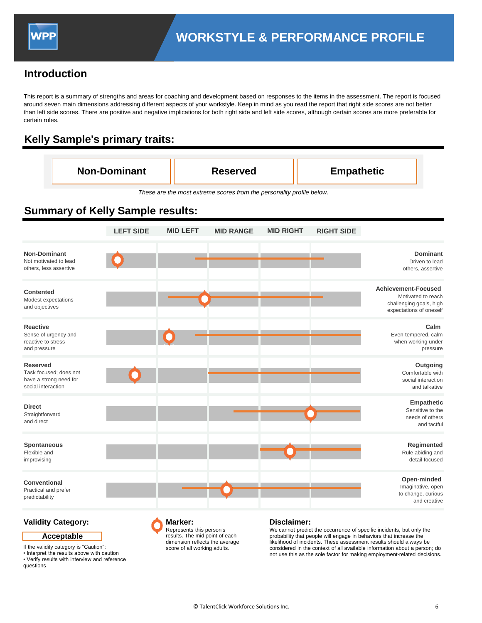### **Introduction**

This report is a summary of strengths and areas for coaching and development based on responses to the items in the assessment. The report is focused around seven main dimensions addressing different aspects of your workstyle. Keep in mind as you read the report that right side scores are not better than left side scores. There are positive and negative implications for both right side and left side scores, although certain scores are more preferable for certain roles.

## **Kelly Sample's primary traits:**

| <b>Non-Dominant</b><br><b>Empathetic</b><br><b>Reserved</b> |
|-------------------------------------------------------------|
|-------------------------------------------------------------|

*These are the most extreme scores from the personality profile below.*

## **Summary of Kelly Sample results:**

|                                                                                           | <b>LEFT SIDE</b> | <b>MID LEFT</b> | <b>MID RANGE</b> | <b>MID RIGHT</b> | <b>RIGHT SIDE</b> |                                                                                                        |
|-------------------------------------------------------------------------------------------|------------------|-----------------|------------------|------------------|-------------------|--------------------------------------------------------------------------------------------------------|
| <b>Non-Dominant</b><br>Not motivated to lead<br>others, less assertive                    |                  |                 |                  |                  |                   | <b>Dominant</b><br>Driven to lead<br>others, assertive                                                 |
| Contented<br>Modest expectations<br>and objectives                                        |                  |                 |                  |                  |                   | <b>Achievement-Focused</b><br>Motivated to reach<br>challenging goals, high<br>expectations of oneself |
| <b>Reactive</b><br>Sense of urgency and<br>reactive to stress<br>and pressure             |                  |                 |                  |                  |                   | Calm<br>Even-tempered, calm<br>when working under<br>pressure                                          |
| <b>Reserved</b><br>Task focused; does not<br>have a strong need for<br>social interaction |                  |                 |                  |                  |                   | Outgoing<br>Comfortable with<br>social interaction<br>and talkative                                    |
| <b>Direct</b><br>Straightforward<br>and direct                                            |                  |                 |                  |                  |                   | Empathetic<br>Sensitive to the<br>needs of others<br>and tactful                                       |
| <b>Spontaneous</b><br>Flexible and<br>improvising                                         |                  |                 |                  |                  |                   | Regimented<br>Rule abiding and<br>detail focused                                                       |
| Conventional<br>Practical and prefer<br>predictability                                    |                  |                 |                  |                  |                   | Open-minded<br>Imaginative, open<br>to change, curious<br>and creative                                 |

**Validity Category:**

**Acceptable**

If the validity category is "Caution":

• Interpret the results above with caution • Verify results with interview and reference questions

**Marker:**  Represents this person's results. The mid point of each dimension reflects the average score of all working adults.

#### **Disclaimer:**

We cannot predict the occurrence of specific incidents, but only the probability that people will engage in behaviors that increase the likelihood of incidents. These assessment results should always be considered in the context of all available information about a person; do not use this as the sole factor for making employment-related decisions.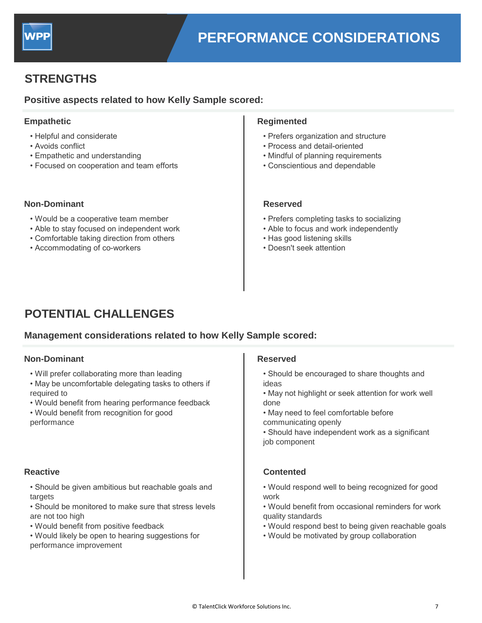

## **STRENGTHS**

### **Positive aspects related to how Kelly Sample scored:**

- Helpful and considerate
- Avoids conflict
- Empathetic and understanding
- Focused on cooperation and team efforts

#### **Non-Dominant Reserved**

- Would be a cooperative team member
- Able to stay focused on independent work
- Comfortable taking direction from others
- Accommodating of co-workers

#### **Empathetic Regimented**

- Prefers organization and structure
- Process and detail-oriented
- Mindful of planning requirements
- Conscientious and dependable

- Prefers completing tasks to socializing
- Able to focus and work independently
- Has good listening skills
- Doesn't seek attention

## **POTENTIAL CHALLENGES**

#### **Management considerations related to how Kelly Sample scored:**

## **Non-Dominant E Reserved**

- Will prefer collaborating more than leading
- May be uncomfortable delegating tasks to others if required to
- Would benefit from hearing performance feedback
- Would benefit from recognition for good performance

- Should be given ambitious but reachable goals and targets
- Should be monitored to make sure that stress levels are not too high
- Would benefit from positive feedback
- Would likely be open to hearing suggestions for performance improvement

- Should be encouraged to share thoughts and ideas
- May not highlight or seek attention for work well done
- May need to feel comfortable before communicating openly
- Should have independent work as a significant job component

#### **Reactive Contented**

- Would respond well to being recognized for good work
- Would benefit from occasional reminders for work quality standards
- Would respond best to being given reachable goals
- Would be motivated by group collaboration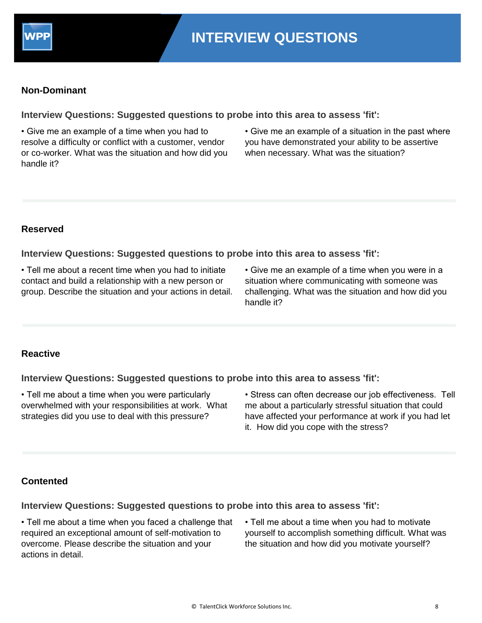

### **Non-Dominant**

**Interview Questions: Suggested questions to probe into this area to assess 'fit':**

• Give me an example of a time when you had to resolve a difficulty or conflict with a customer, vendor or co-worker. What was the situation and how did you handle it?

• Give me an example of a situation in the past where you have demonstrated your ability to be assertive when necessary. What was the situation?

#### **Reserved**

**Interview Questions: Suggested questions to probe into this area to assess 'fit':**

• Tell me about a recent time when you had to initiate contact and build a relationship with a new person or group. Describe the situation and your actions in detail.

• Give me an example of a time when you were in a situation where communicating with someone was challenging. What was the situation and how did you handle it?

#### **Reactive**

**Interview Questions: Suggested questions to probe into this area to assess 'fit':**

• Tell me about a time when you were particularly overwhelmed with your responsibilities at work. What strategies did you use to deal with this pressure?

• Stress can often decrease our job effectiveness. Tell me about a particularly stressful situation that could have affected your performance at work if you had let it. How did you cope with the stress?

### **Contented**

#### **Interview Questions: Suggested questions to probe into this area to assess 'fit':**

• Tell me about a time when you faced a challenge that required an exceptional amount of self-motivation to overcome. Please describe the situation and your actions in detail.

• Tell me about a time when you had to motivate yourself to accomplish something difficult. What was the situation and how did you motivate yourself?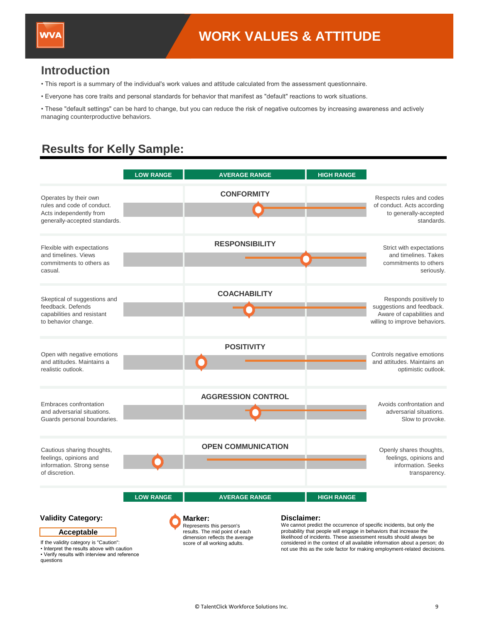### **Introduction**

- This report is a summary of the individual's work values and attitude calculated from the assessment questionnaire.
- Everyone has core traits and personal standards for behavior that manifest as "default" reactions to work situations.

• These "default settings" can be hard to change, but you can reduce the risk of negative outcomes by increasing awareness and actively managing counterproductive behaviors.

## **Results for Kelly Sample:**

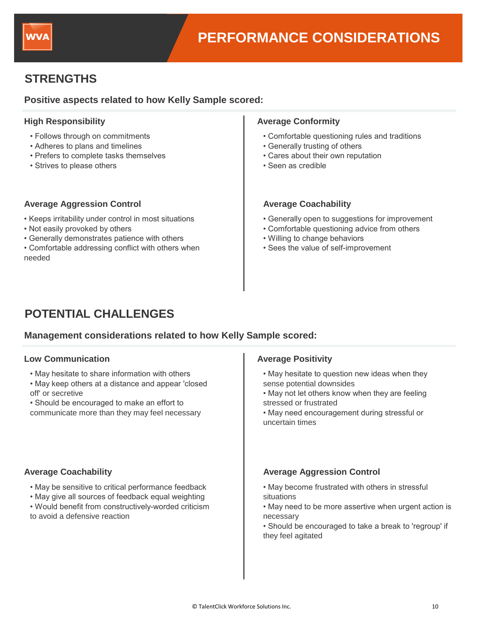

## **STRENGTHS**

### **Positive aspects related to how Kelly Sample scored:**

- Follows through on commitments
- Adheres to plans and timelines
- Prefers to complete tasks themselves
- Strives to please others

#### **Average Aggression Control Average Coachability**

- Keeps irritability under control in most situations
- Not easily provoked by others
- Generally demonstrates patience with others
- Comfortable addressing conflict with others when needed

#### **High Responsibility Average Conformity Average Conformity**

- Comfortable questioning rules and traditions
- Generally trusting of others
- Cares about their own reputation
- Seen as credible

- Generally open to suggestions for improvement
- Comfortable questioning advice from others
- Willing to change behaviors
- Sees the value of self-improvement

## **POTENTIAL CHALLENGES**

#### **Management considerations related to how Kelly Sample scored:**

#### **Low Communication E Example 20 and 20 and 20 and 20 and 20 and 20 and 20 and 20 and 20 and 20 and 20 and 20 and 20 and 20 and 20 and 20 and 20 and 20 and 20 and 20 and 20 and 20 and 20 and 20 and 20 and 20 and 20 and**

- May hesitate to share information with others
- May keep others at a distance and appear 'closed off' or secretive

• Should be encouraged to make an effort to communicate more than they may feel necessary

- May be sensitive to critical performance feedback
- May give all sources of feedback equal weighting
- Would benefit from constructively-worded criticism to avoid a defensive reaction

- May hesitate to question new ideas when they sense potential downsides
- May not let others know when they are feeling stressed or frustrated
- May need encouragement during stressful or uncertain times

#### **Average Coachability Average Aggression Control**

- May become frustrated with others in stressful situations
- May need to be more assertive when urgent action is necessary
- Should be encouraged to take a break to 'regroup' if they feel agitated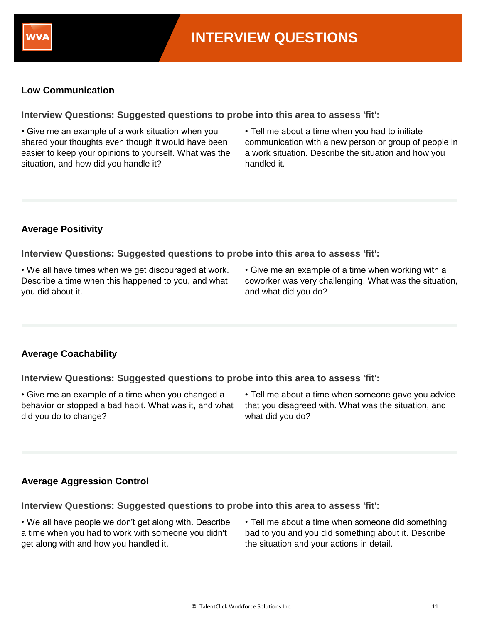

### **Low Communication**

**Interview Questions: Suggested questions to probe into this area to assess 'fit':**

• Give me an example of a work situation when you shared your thoughts even though it would have been easier to keep your opinions to yourself. What was the situation, and how did you handle it?

• Tell me about a time when you had to initiate communication with a new person or group of people in a work situation. Describe the situation and how you handled it.

### **Average Positivity**

**Interview Questions: Suggested questions to probe into this area to assess 'fit':**

• We all have times when we get discouraged at work. Describe a time when this happened to you, and what you did about it.

• Give me an example of a time when working with a coworker was very challenging. What was the situation, and what did you do?

### **Average Coachability**

**Interview Questions: Suggested questions to probe into this area to assess 'fit':**

• Give me an example of a time when you changed a behavior or stopped a bad habit. What was it, and what did you do to change?

• Tell me about a time when someone gave you advice that you disagreed with. What was the situation, and what did you do?

### **Average Aggression Control**

**Interview Questions: Suggested questions to probe into this area to assess 'fit':**

• We all have people we don't get along with. Describe a time when you had to work with someone you didn't get along with and how you handled it.

• Tell me about a time when someone did something bad to you and you did something about it. Describe the situation and your actions in detail.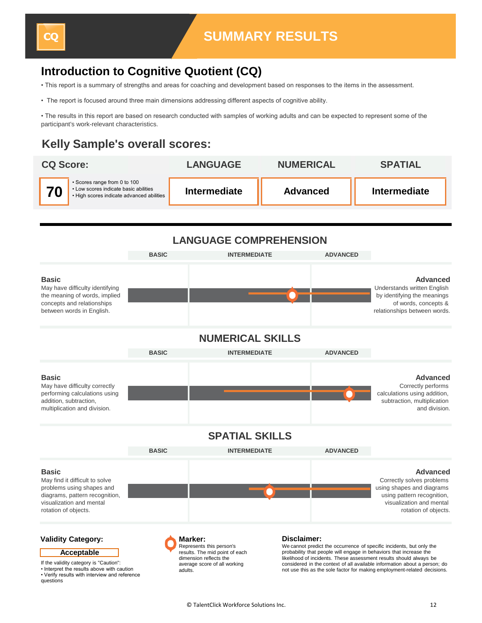## **Introduction to Cognitive Quotient (CQ)**

• This report is a summary of strengths and areas for coaching and development based on responses to the items in the assessment.

• The report is focused around three main dimensions addressing different aspects of cognitive ability.

• The results in this report are based on research conducted with samples of working adults and can be expected to represent some of the participant's work-relevant characteristics.

## **Kelly Sample's overall scores:**





• Interpret the results above with caution • Verify results with interview and reference questions

adults.

not use this as the sole factor for making employment-related decisions.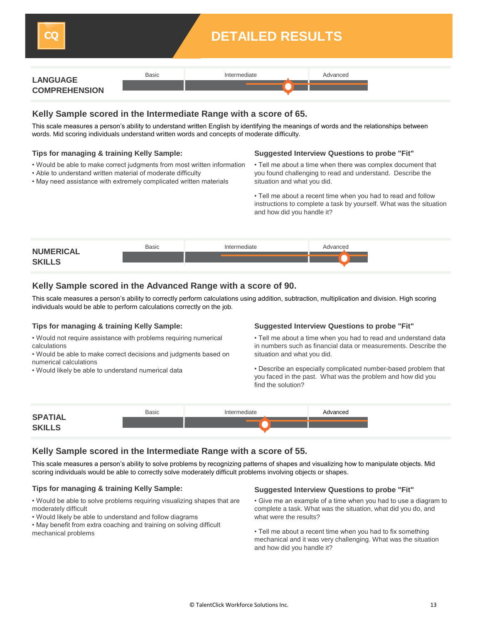

## **DETAILED RESULTS**

| <b>LANGUAGE</b>      | <b>Basic</b> | Intermediate | Advanced |
|----------------------|--------------|--------------|----------|
| <b>COMPREHENSION</b> |              |              |          |

#### **Kelly Sample scored in the Intermediate Range with a score of 65.**

This scale measures a person's ability to understand written English by identifying the meanings of words and the relationships between words. Mid scoring individuals understand written words and concepts of moderate difficulty.

#### **Tips for managing & training Kelly Sample:**

- Would be able to make correct judgments from most written information
- Able to understand written material of moderate difficulty
- May need assistance with extremely complicated written materials

#### **Suggested Interview Questions to probe "Fit"**

• Tell me about a time when there was complex document that you found challenging to read and understand. Describe the situation and what you did.

• Tell me about a recent time when you had to read and follow instructions to complete a task by yourself. What was the situation and how did you handle it?



#### **Kelly Sample scored in the Advanced Range with a score of 90.**

This scale measures a person's ability to correctly perform calculations using addition, subtraction, multiplication and division. High scoring individuals would be able to perform calculations correctly on the job.

#### **Tips for managing & training Kelly Sample:**

• Would not require assistance with problems requiring numerical calculations

- Would be able to make correct decisions and judgments based on numerical calculations
- Would likely be able to understand numerical data

#### **Suggested Interview Questions to probe "Fit"**

• Tell me about a time when you had to read and understand data in numbers such as financial data or measurements. Describe the situation and what you did.

• Describe an especially complicated number-based problem that you faced in the past. What was the problem and how did you find the solution?

| <b>SPATIAL</b> | <b>Basic</b> | Intermediate | Advanced |
|----------------|--------------|--------------|----------|
| <b>SKILLS</b>  |              |              |          |

#### **Kelly Sample scored in the Intermediate Range with a score of 55.**

This scale measures a person's ability to solve problems by recognizing patterns of shapes and visualizing how to manipulate objects. Mid scoring individuals would be able to correctly solve moderately difficult problems involving objects or shapes.

- Would be able to solve problems requiring visualizing shapes that are moderately difficult
- Would likely be able to understand and follow diagrams

• May benefit from extra coaching and training on solving difficult mechanical problems

#### **Tips for managing & training Kelly Sample: Suggested Interview Questions to probe "Fit"**

- Give me an example of a time when you had to use a diagram to complete a task. What was the situation, what did you do, and what were the results?
- Tell me about a recent time when you had to fix something mechanical and it was very challenging. What was the situation and how did you handle it?